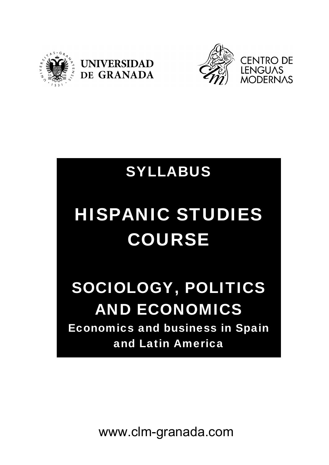





# SYLLABUS

# HISPANIC STUDIES COURSE

## SOCIOLOGY, POLITICS AND ECONOMICS Economics and business in Spain and Latin America

www.clm-granada.com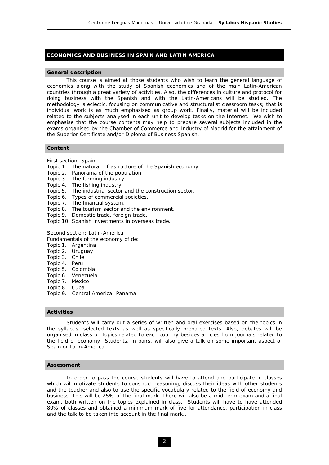## **ECONOMICS AND BUSINESS IN SPAIN AND LATIN AMERICA**

#### **General description**

 This course is aimed at those students who wish to learn the general language of economics along with the study of Spanish economics and of the main Latin-American countries through a great variety of activities. Also, the differences in culture and protocol for doing business with the Spanish and with the Latin-Americans will be studied. The methodology is eclectic, focusing on communicative and structuralist classroom tasks; that is individual work is as much emphasised as group work. Finally, material will be included related to the subjects analysed in each unit to develop tasks on the Internet. We wish to emphasise that the course contents may help to prepare several subjects included in the exams organised by the Chamber of Commerce and Industry of Madrid for the attainment of the Superior Certificate and/or Diploma of Business Spanish.

#### **Content**

First section: Spain

- *Topic 1*. The natural infrastructure of the Spanish economy.
- *Topic 2*. Panorama of the population.
- *Topic 3*. The farming industry.
- *Topic 4*. The fishing industry.
- *Topic 5*. The industrial sector and the construction sector.
- *Topic 6*. Types of commercial societies.
- *Topic 7*. The financial system.
- *Topic 8*. The tourism sector and the environment.
- *Topic 9*. Domestic trade, foreign trade.
- *Topic 10*. Spanish investments in overseas trade.

Second section: Latin-America

Fundamentals of the economy of de:

- *Topic 1*. Argentina
- *Topic 2*. Uruguay
- *Topic 3*. Chile
- *Topic 4*. Peru
- *Topic 5*. Colombia
- *Topic 6*. Venezuela
- *Topic 7*. Mexico
- *Topic 8*. Cuba
- *Topic 9*. Central America: Panama

#### **Activities**

 Students will carry out a series of written and oral exercises based on the topics in the syllabus, selected texts as well as specifically prepared texts. Also, debates will be organised in class on topics related to each country besides articles from journals related to the field of economy Students, in pairs, will also give a talk on some important aspect of Spain or Latin-America.

#### **Assessment**

 In order to pass the course students will have to attend and participate in classes which will motivate students to construct reasoning, discuss their ideas with other students and the teacher and also to use the specific vocabulary related to the field of economy and business. This will be 25% of the final mark. There will also be a mid-term exam and a final exam, both written on the topics explained in class. Students will have to have attended 80% of classes and obtained a minimum mark of five for attendance, participation in class and the talk to be taken into account in the final mark..